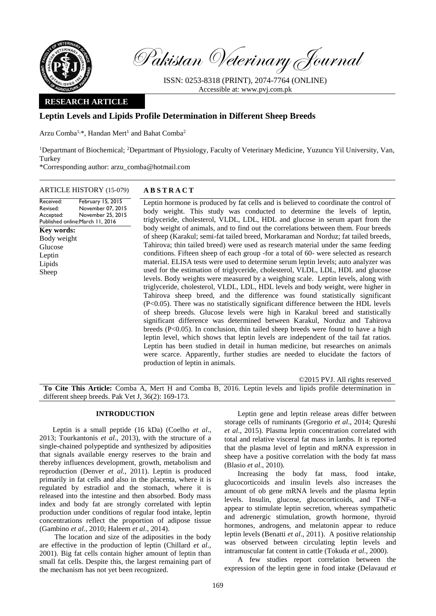

Pakistan Veterinary Journal

ISSN: 0253-8318 (PRINT), 2074-7764 (ONLINE) Accessible at: [www.pvj.com.pk](http://www.pvj.com.pk/)

## **RESEARCH ARTICLE**

# **Leptin Levels and Lipids Profile Determination in Different Sheep Breeds**

Arzu Comba<sup>1,\*</sup>, Handan Mert<sup>1</sup> and Bahat Comba<sup>2</sup>

<sup>1</sup>Departmant of Biochemical; <sup>2</sup>Departmant of Physiology, Faculty of Veterinary Medicine, Yuzuncu Yil University, Van, **Turkey** 

\*Corresponding author: arzu\_comba@hotmail.com

ARTICLE HISTORY (15-079) **A B S T R A C T**

Received: Revised: Accepted: Published online: March 11, 2016 February 15, 2015 November 07, 2015 November 25, 2015 **Key words:**  Body weight Glucose Leptin Lipids Sheep

Leptin hormone is produced by fat cells and is believed to coordinate the control of body weight. This study was conducted to determine the levels of leptin, triglyceride, cholesterol, VLDL, LDL, HDL and glucose in serum apart from the body weight of animals, and to find out the correlations between them. Four breeds of sheep (Karakul; semi-fat tailed breed, Morkaraman and Norduz; fat tailed breeds, Tahirova; thin tailed breed) were used as research material under the same feeding conditions. Fifteen sheep of each group -for a total of 60- were selected as research material. ELISA tests were used to determine serum leptin levels; auto analyzer was used for the estimation of triglyceride, cholesterol, VLDL, LDL, HDL and glucose levels. Body weights were measured by a weighing scale. Leptin levels, along with triglyceride, cholesterol, VLDL, LDL, HDL levels and body weight, were higher in Tahirova sheep breed, and the difference was found statistically significant (P<0.05). There was no statistically significant difference between the HDL levels of sheep breeds. Glucose levels were high in Karakul breed and statistically significant difference was determined between Karakul, Norduz and Tahirova breeds (P<0.05). In conclusion, thin tailed sheep breeds were found to have a high leptin level, which shows that leptin levels are independent of the tail fat ratios. Leptin has been studied in detail in human medicine, but researches on animals were scarce. Apparently, further studies are needed to elucidate the factors of production of leptin in animals.

©2015 PVJ. All rights reserved

**To Cite This Article:** Comba A, Mert H and Comba B, 2016. Leptin levels and lipids profile determination in different sheep breeds. Pak Vet J, 36(2): 169-173.

## **INTRODUCTION**

Leptin is a small peptide (16 kDa) (Coelho *et al*., 2013; Tourkantonis *et al*., 2013), with the structure of a single-chained polypeptide and synthesized by adiposities that signals available energy reserves to the brain and thereby influences development, growth, metabolism and reproduction (Denver *et al*., 2011). Leptin is produced primarily in fat cells and also in the placenta, where it is regulated by estradiol and the stomach, where it is released into the intestine and then absorbed. Body mass index and body fat are strongly correlated with leptin production under conditions of regular food intake, leptin concentrations reflect the proportion of adipose tissue (Gambino *et al*., 2010; Haleem *et al*., 2014).

The location and size of the adiposities in the body are effective in the production of leptin (Chillard *et al*., 2001). Big fat cells contain higher amount of leptin than small fat cells. Despite this, the largest remaining part of the mechanism has not yet been recognized.

Leptin gene and leptin release areas differ between storage cells of ruminants (Gregorio *et al*., 2014; Qureshi *et al*., 2015). Plasma leptin concentration correlated with total and relative visceral fat mass in lambs. It is reported that the plasma level of leptin and mRNA expression in sheep have a positive correlation with the body fat mass (Blasio *et al*., 2010).

Increasing the body fat mass, food intake, glucocorticoids and insulin levels also increases the amount of ob gene mRNA levels and the plasma leptin levels. Insulin, glucose, glucocorticoids, and TNF-α appear to stimulate leptin secretion, whereas sympathetic and adrenergic stimulation, growth hormone, thyroid hormones, androgens, and melatonin appear to reduce leptin levels (Benatti *et al*., 2011). A positive relationship was observed between circulating leptin levels and intramuscular fat content in cattle (Tokuda *et al*., 2000).

A few studies report correlation between the expression of the leptin gene in food intake (Delavaud *et*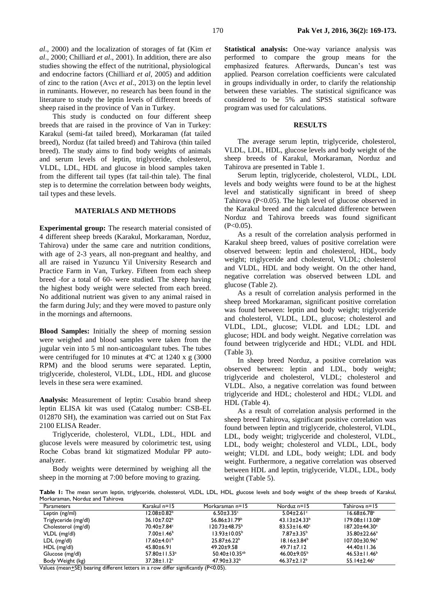and endocrine factors (Chilliard *et al*, 2005) and addition of zinc to the ration (Avcı *et al*., 2013) on the leptin level in ruminants. However, no research has been found in the literature to study the leptin levels of different breeds of sheep raised in the province of Van in Turkey.

This study is conducted on four different sheep breeds that are raised in the province of Van in Turkey: Karakul (semi-fat tailed breed), Morkaraman (fat tailed breed), Norduz (fat tailed breed) and Tahirova (thin tailed breed). The study aims to find body weights of animals and serum levels of leptin, triglyceride, cholesterol, VLDL, LDL, HDL and glucose in blood samples taken from the different tail types (fat tail-thin tale). The final step is to determine the correlation between body weights, tail types and these levels.

### **MATERIALS AND METHODS**

**Experimental group:** The research material consisted of 4 different sheep breeds (Karakul, Morkaraman, Norduz, Tahirova) under the same care and nutrition conditions, with age of 2-3 years, all non-pregnant and healthy, and all are raised in Yuzuncu Yil University Research and Practice Farm in Van, Turkey. Fifteen from each sheep breed -for a total of 60- were studied. The sheep having the highest body weight were selected from each breed. No additional nutrient was given to any animal raised in the farm during July; and they were moved to pasture only in the mornings and afternoons.

**Blood Samples:** Initially the sheep of morning session were weighed and blood samples were taken from the jugular vein into 5 ml non-anticoagulant tubes. The tubes were centrifuged for 10 minutes at 4ºC at 1240 x g (3000 RPM) and the blood serums were separated. Leptin, triglyceride, cholesterol, VLDL, LDL, HDL and glucose levels in these sera were examined.

**Analysis:** Measurement of leptin: Cusabio brand sheep leptin ELISA kit was used (Catalog number: CSB-EL 012870 SH), the examination was carried out on Stat Fax 2100 ELISA Reader.

Triglyceride, cholesterol, VLDL, LDL, HDL and glucose levels were measured by colorimetric test, using Roche Cobas brand kit stigmatized Modular PP autoanalyzer.

Body weights were determined by weighing all the sheep in the morning at 7:00 before moving to grazing.

**Statistical analysis:** One-way variance analysis was performed to compare the group means for the emphasized features. Afterwards, Duncan's test was applied. Pearson correlation coefficients were calculated in groups individually in order, to clarify the relationship between these variables. The statistical significance was considered to be 5% and SPSS statistical software program was used for calculations.

#### **RESULTS**

The average serum leptin, triglyceride, cholesterol, VLDL, LDL, HDL, glucose levels and body weight of the sheep breeds of Karakul, Morkaraman, Norduz and Tahirova are presented in Table 1.

Serum leptin, triglyceride, cholesterol, VLDL, LDL levels and body weights were found to be at the highest level and statistically significant in breed of sheep Tahirova (P<0.05). The high level of glucose observed in the Karakul breed and the calculated difference between Norduz and Tahirova breeds was found significant  $(P<0.05)$ .

As a result of the correlation analysis performed in Karakul sheep breed, values of positive correlation were observed between: leptin and cholesterol, HDL, body weight; triglyceride and cholesterol, VLDL; cholesterol and VLDL, HDL and body weight. On the other hand, negative correlation was observed between LDL and glucose (Table 2).

As a result of correlation analysis performed in the sheep breed Morkaraman, significant positive correlation was found between: leptin and body weight; triglyceride and cholesterol, VLDL, LDL, glucose; cholesterol and VLDL, LDL, glucose; VLDL and LDL; LDL and glucose; HDL and body weight. Negative correlation was found between triglyceride and HDL; VLDL and HDL (Table 3).

In sheep breed Norduz, a positive correlation was observed between: leptin and LDL, body weight; triglyceride and cholesterol, VLDL; cholesterol and VLDL. Also, a negative correlation was found between triglyceride and HDL; cholesterol and HDL; VLDL and HDL (Table 4).

As a result of correlation analysis performed in the sheep breed Tahirova, significant positive correlation was found between leptin and triglyceride, cholesterol, VLDL, LDL, body weight; triglyceride and cholesterol, VLDL, LDL, body weight; cholesterol and VLDL, LDL, body weight; VLDL and LDL, body weight; LDL and body weight. Furthermore, a negative correlation was observed between HDL and leptin, triglyceride, VLDL, LDL, body weight (Table 5).

**Table 1:** The mean serum leptin, triglyceride, cholesterol, VLDL, LDL, HDL, glucose levels and body weight of the sheep breeds of Karakul, Morkaraman, Norduz and Tahirova

| Parameters           | Karakul $n = 15$               | Morkaraman n=15              | Norduz n=15                  | Tahirova n=15                 |
|----------------------|--------------------------------|------------------------------|------------------------------|-------------------------------|
| Leptin (ng/ml)       | $12.08 \pm 0.82^{\circ}$       | $6.50 \pm 3.35$ <sup>c</sup> | $5.04 \pm 2.61$ <sup>c</sup> | $16.68 \pm 6.78$ <sup>a</sup> |
| Triglyceride (mg/dl) | $36.10 \pm 7.02^b$             | $56.86 \pm 31.79^{\circ}$    | $43.13 \pm 24.33^b$          | 179.08±113.08 <sup>a</sup>    |
| Cholesterol (mg/dl)  | 70.40±7.84°                    | $120.73 \pm 48.75^{\circ}$   | $83.53 \pm 16.40^{\circ}$    | 187.20±44.30 <sup>a</sup>     |
| VLDL (mg/dl)         | $7.00 \pm 1.46^b$              | $13.93 \pm 10.05^{\circ}$    | $7.87 \pm 3.35^b$            | 35.80±22.66 <sup>a</sup>      |
| LDL (mg/dl)          | $17.60 \pm 4.01^b$             | $25.87 \pm 6.22^b$           | $18.16 \pm 3.84^b$           | $107.00 \pm 30.96^a$          |
| $HDL$ (mg/dl)        | $45.80 \pm 6.91$               | $49.20 \pm 9.58$             | $49.71 \pm 7.12$             | $44.40 \pm 11.36$             |
| Glucose (mg/dl)      | $57.80 \pm 11.53$ <sup>a</sup> | $50.40 \pm 10.35^{ab}$       | $46.00 \pm 9.05^{\circ}$     | $46.53 \pm 11.46^b$           |
| Body Weight (kg)     | $37.28 \pm 1.12$ <sup>c</sup>  | $47.90 \pm 3.32^b$           | $46.37 \pm 2.12^b$           | $55.14 \pm 2.46^a$            |

Values (mean +SE) bearing different letters in a row differ significantly (P<0.05).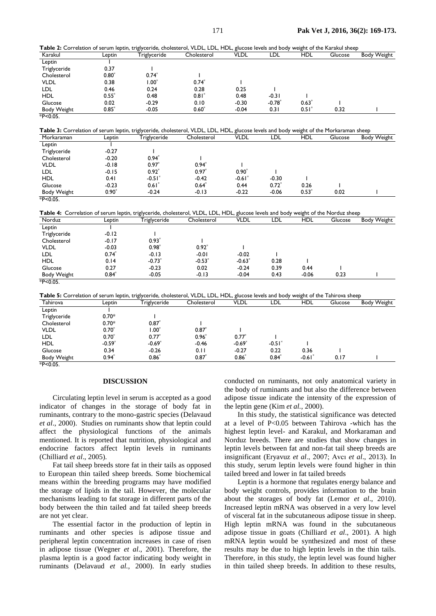|               |          | Table 2: Correlation of serum leptin, triglyceride, cholesterol, VLDL, LDL, HDL, glucose levels and body weight of the Karakul sheep    |                          |                      |                           |            |              |                    |
|---------------|----------|-----------------------------------------------------------------------------------------------------------------------------------------|--------------------------|----------------------|---------------------------|------------|--------------|--------------------|
| Karakul       | Leptin   | Triglyceride                                                                                                                            | Cholesterol              | <b>VLDL</b>          | LDL                       | HDL        | Glucose      | <b>Body Weight</b> |
| Leptin        |          |                                                                                                                                         |                          |                      |                           |            |              |                    |
| Triglyceride  | 0.37     | $\mathbf{I}$                                                                                                                            |                          |                      |                           |            |              |                    |
| Cholesterol   | $0.80*$  | $0.74*$                                                                                                                                 | T                        |                      |                           |            |              |                    |
| <b>VLDL</b>   | 0.38     | $1.00*$                                                                                                                                 | $0.74*$                  | $\mathbf{I}$         |                           |            |              |                    |
| <b>LDL</b>    | 0.46     | 0.24                                                                                                                                    | 0.28                     | 0.25                 | T                         |            |              |                    |
| <b>HDL</b>    | $0.55*$  | 0.48                                                                                                                                    | $0.81*$                  | 0.48                 | $-0.31$                   |            |              |                    |
| Glucose       | 0.02     | $-0.29$                                                                                                                                 | 0.10                     | $-0.30$              | $-0.78$                   | $0.63*$    | $\mathbf{I}$ |                    |
| Body Weight   | $0.85*$  | $-0.05$                                                                                                                                 | $0.60*$                  | $-0.04$              | 0.31                      | $0.51^*$   | 0.32         |                    |
| $*P<0.05$ .   |          |                                                                                                                                         |                          |                      |                           |            |              |                    |
|               |          | Table 3: Correlation of serum leptin, triglyceride, cholesterol, VLDL, LDL, HDL, glucose levels and body weight of the Morkaraman sheep |                          |                      |                           |            |              |                    |
| Morkaraman    | Leptin   | Triglyceride                                                                                                                            | Cholesterol              | VLDL                 | LDL                       | <b>HDL</b> | Glucose      | <b>Body Weight</b> |
| Leptin        |          |                                                                                                                                         |                          |                      |                           |            |              |                    |
| Triglyceride  | $-0.27$  | Ι.                                                                                                                                      |                          |                      |                           |            |              |                    |
| Cholesterol   | $-0.20$  | $0.94*$                                                                                                                                 | $\mathbf{I}$             |                      |                           |            |              |                    |
| <b>VLDL</b>   | $-0.18$  | $0.97*$                                                                                                                                 | $0.94*$                  |                      |                           |            |              |                    |
| <b>LDL</b>    | $-0.15$  | $0.92*$                                                                                                                                 | $0.97*$                  | $0.90*$              |                           |            |              |                    |
| <b>HDL</b>    | 0.41     | $-0.51$ <sup>*</sup>                                                                                                                    | $-0.42$                  | $-0.61$ <sup>*</sup> | $-0.30$                   |            |              |                    |
| Glucose       | $-0.23$  | $0.61*$                                                                                                                                 | $0.64*$                  | 0.44                 | $0.72*$                   | 0.26       |              |                    |
| Body Weight   | $0.90*$  | $-0.24$                                                                                                                                 | $-0.13$                  | $-0.22$              | $-0.06$                   | $0.53*$    | 0.02         |                    |
| $*P < 0.05$ . |          |                                                                                                                                         |                          |                      |                           |            |              |                    |
|               |          | Table 4: Correlation of serum leptin, triglyceride, cholesterol, VLDL, LDL, HDL, glucose levels and body weight of the Norduz sheep     |                          |                      |                           |            |              |                    |
| Norduz        | Leptin   | <b>Triglyceride</b>                                                                                                                     | Cholesterol              | VLDL                 | $\overline{\mathsf{LDL}}$ | HDL        | Glucose      | <b>Body Weight</b> |
| Leptin        |          |                                                                                                                                         |                          |                      |                           |            |              |                    |
| Triglyceride  | $-0.12$  |                                                                                                                                         |                          |                      |                           |            |              |                    |
| Cholesterol   | $-0.17$  | $0.93*$                                                                                                                                 | $\overline{\phantom{a}}$ |                      |                           |            |              |                    |
| <b>VLDL</b>   | $-0.03$  | $0.98*$                                                                                                                                 | $0.92*$                  |                      |                           |            |              |                    |
| <b>LDL</b>    | $0.74*$  | $-0.13$                                                                                                                                 | $-0.01$                  | $-0.02$              | Ι.                        |            |              |                    |
| <b>HDL</b>    | 0.14     | $-0.73$ <sup>*</sup>                                                                                                                    | $-0.53*$                 | $-0.63*$             | 0.28                      |            |              |                    |
| Glucose       | 0.27     | $-0.23$                                                                                                                                 | 0.02                     | $-0.24$              | 0.39                      | 0.44       | $\mathbf{I}$ |                    |
| Body Weight   | $0.84*$  | $-0.05$                                                                                                                                 | $-0.13$                  | $-0.04$              | 0.43                      | $-0.06$    | 0.23         |                    |
| $*P < 0.05$ . |          |                                                                                                                                         |                          |                      |                           |            |              |                    |
|               |          | Table 5: Correlation of serum leptin, triglyceride, cholesterol, VLDL, LDL, HDL, glucose levels and body weight of the Tahirova sheep   |                          |                      |                           |            |              |                    |
| Tahirova      | Leptin   | <b>Triglyceride</b>                                                                                                                     | Cholesterol              | <b>VLDL</b>          | LDL                       | <b>HDL</b> | Glucose      | <b>Body Weight</b> |
| Leptin        |          |                                                                                                                                         |                          |                      |                           |            |              |                    |
| Triglyceride  | $0.70*$  |                                                                                                                                         |                          |                      |                           |            |              |                    |
| Cholesterol   | $0.70*$  | $0.87*$                                                                                                                                 | T                        |                      |                           |            |              |                    |
| <b>VLDL</b>   | $0.70*$  | $1.00*$                                                                                                                                 | $0.87$ *                 |                      |                           |            |              |                    |
| <b>LDL</b>    | $0.70*$  | $0.77*$                                                                                                                                 | $0.96*$                  | $0.77*$              | T                         |            |              |                    |
| HDL.          | $-0.59*$ | $-0.69*$                                                                                                                                | $-0.46$                  | $-0.69*$             | $-0.51$ <sup>*</sup>      |            |              |                    |

Glucose 0.34 -0.26 0.11 -0.27 0.22 0.36 1

 $*P < 0.05$ .

### **DISCUSSION**

Body Weight  $0.94^*$   $0.86^*$   $0.87^*$  0.86

Circulating leptin level in serum is accepted as a good indicator of changes in the storage of body fat in ruminants, contrary to the mono-gastric species (Delavaud *et al*., 2000). Studies on ruminants show that leptin could affect the physiological functions of the animals mentioned. It is reported that nutrition, physiological and endocrine factors affect leptin levels in ruminants (Chilliard *et al*., 2005).

Fat tail sheep breeds store fat in their tails as opposed to European thin tailed sheep breeds. Some biochemical means within the breeding programs may have modified the storage of lipids in the tail. However, the molecular mechanisms leading to fat storage in different parts of the body between the thin tailed and fat tailed sheep breeds are not yet clear.

The essential factor in the production of leptin in ruminants and other species is adipose tissue and peripheral leptin concentration increases in case of risen in adipose tissue (Wegner *et al*., 2001). Therefore, the plasma leptin is a good factor indicating body weight in ruminants (Delavaud *et al.*, 2000). In early studies

conducted on ruminants, not only anatomical variety in the body of ruminants and but also the difference between adipose tissue indicate the intensity of the expression of the leptin gene (Kim *et al.*, 2000).

 $-0.61^*$  0.17

0.84

In this study, the statistical significance was detected at a level of P<0.05 between Tahirova -which has the highest leptin level- and Karakul, and Morkaraman and Norduz breeds. There are studies that show changes in leptin levels between fat and non-fat tail sheep breeds are insignificant (Eryavuz *et al*., 2007; Avcı *et al*., 2013). In this study, serum leptin levels were found higher in thin tailed breed and lower in fat tailed breeds

Leptin is a hormone that regulates energy balance and body weight controls, provides information to the brain about the storages of body fat (Lemor *et al*., 2010). Increased leptin mRNA was observed in a very low level of visceral fat in the subcutaneous adipose tissue in sheep. High leptin mRNA was found in the subcutaneous adipose tissue in goats (Chilliard *et al*., 2001). A high mRNA leptin would be synthesized and most of these results may be due to high leptin levels in the thin tails. Therefore, in this study, the leptin level was found higher in thin tailed sheep breeds. In addition to these results,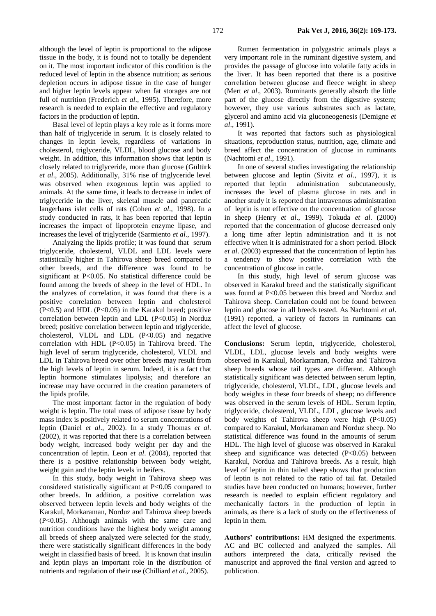although the level of leptin is proportional to the adipose tissue in the body, it is found not to totally be dependent on it. The most important indicator of this condition is the reduced level of leptin in the absence nutrition; as serious depletion occurs in adipose tissue in the case of hunger and higher leptin levels appear when fat storages are not full of nutrition (Frederich *et al*., 1995). Therefore, more research is needed to explain the effective and regulatory factors in the production of leptin.

Basal level of leptin plays a key role as it forms more than half of triglyceride in serum. It is closely related to changes in leptin levels, regardless of variations in cholesterol, triglyceride, VLDL, blood glucose and body weight. In addition, this information shows that leptin is closely related to triglyceride, more than glucose (Gültürk *et al*., 2005). Additionally, 31% rise of triglyceride level was observed when exogenous leptin was applied to animals. At the same time, it leads to decrease in index of triglyceride in the liver, skeletal muscle and pancreatic langerhans islet cells of rats (Cohen *et al*., 1998). In a study conducted in rats, it has been reported that leptin increases the impact of lipoprotein enzyme lipase, and increases the level of triglyceride (Sarmiento *et al*., 1997).

Analyzing the lipids profile; it was found that serum triglyceride, cholesterol, VLDL and LDL levels were statistically higher in Tahirova sheep breed compared to other breeds, and the difference was found to be significant at P<0.05. No statistical difference could be found among the breeds of sheep in the level of HDL. In the analyzes of correlation, it was found that there is a positive correlation between leptin and cholesterol  $(P<0.5)$  and HDL  $(P<0.05)$  in the Karakul breed; positive correlation between leptin and LDL  $(P<0.05)$  in Norduz breed; positive correlation between leptin and triglyceride, cholesterol, VLDL and LDL  $(P<0.05)$  and negative correlation with HDL (P<0.05) in Tahirova breed. The high level of serum triglyceride, cholesterol, VLDL and LDL in Tahirova breed over other breeds may result from the high levels of leptin in serum. Indeed, it is a fact that leptin hormone stimulates lipolysis; and therefore an increase may have occurred in the creation parameters of the lipids profile.

The most important factor in the regulation of body weight is leptin. The total mass of adipose tissue by body mass index is positively related to serum concentrations of leptin (Daniel *et al*., 2002). In a study Thomas *et al*. (2002), it was reported that there is a correlation between body weight, increased body weight per day and the concentration of leptin. Leon *et al*. (2004), reported that there is a positive relationship between body weight, weight gain and the leptin levels in heifers.

In this study, body weight in Tahirova sheep was considered statistically significant at P<0.05 compared to other breeds. In addition, a positive correlation was observed between leptin levels and body weights of the Karakul, Morkaraman, Norduz and Tahirova sheep breeds (P<0.05). Although animals with the same care and nutrition conditions have the highest body weight among all breeds of sheep analyzed were selected for the study, there were statistically significant differences in the body weight in classified basis of breed. It is known that insulin and leptin plays an important role in the distribution of nutrients and regulation of their use (Chilliard *et al*., 2005).

Rumen fermentation in polygastric animals plays a very important role in the ruminant digestive system, and provides the passage of glucose into volatile fatty acids in the liver. It has been reported that there is a positive correlation between glucose and fleece weight in sheep (Mert *et al*., 2003). Ruminants generally absorb the little part of the glucose directly from the digestive system; however, they use various substrates such as lactate, glycerol and amino acid via gluconeogenesis (Demigne *et al*., 1991).

It was reported that factors such as physiological situations, reproduction status, nutrition, age, climate and breed affect the concentration of glucose in ruminants (Nachtomi *et al*., 1991).

In one of several studies investigating the relationship between glucose and leptin (Sivitz *et al*., 1997), it is reported that leptin administration subcutaneously, increases the level of plasma glucose in rats and in another study it is reported that intravenous administration of leptin is not effective on the concentration of glucose in sheep (Henry *et al*., 1999). Tokuda *et al*. (2000) reported that the concentration of glucose decreased only a long time after leptin administration and it is not effective when it is administrated for a short period. Block *et al*. (2003) expressed that the concentration of leptin has a tendency to show positive correlation with the concentration of glucose in cattle.

In this study, high level of serum glucose was observed in Karakul breed and the statistically significant was found at P<0.05 between this breed and Norduz and Tahirova sheep. Correlation could not be found between leptin and glucose in all breeds tested. As Nachtomi *et al*. (1991) reported, a variety of factors in ruminants can affect the level of glucose.

**Conclusions:** Serum leptin, triglyceride, cholesterol, VLDL, LDL, glucose levels and body weights were observed in Karakul, Morkaraman, Norduz and Tahirova sheep breeds whose tail types are different. Although statistically significant was detected between serum leptin, triglyceride, cholesterol, VLDL, LDL, glucose levels and body weights in these four breeds of sheep; no difference was observed in the serum levels of HDL. Serum leptin, triglyceride, cholesterol, VLDL, LDL, glucose levels and body weights of Tahirova sheep were high (P<0.05) compared to Karakul, Morkaraman and Norduz sheep. No statistical difference was found in the amounts of serum HDL. The high level of glucose was observed in Karakul sheep and significance was detected  $(P<0.05)$  between Karakul, Norduz and Tahirova breeds. As a result, high level of leptin in thin tailed sheep shows that production of leptin is not related to the ratio of tail fat. Detailed studies have been conducted on humans; however, further research is needed to explain efficient regulatory and mechanically factors in the production of leptin in animals, as there is a lack of study on the effectiveness of leptin in them.

**Authors' contributions:** HM designed the experiments. AC and BC collected and analyzed the samples. All authors interpreted the data, critically revised the manuscript and approved the final version and agreed to publication.